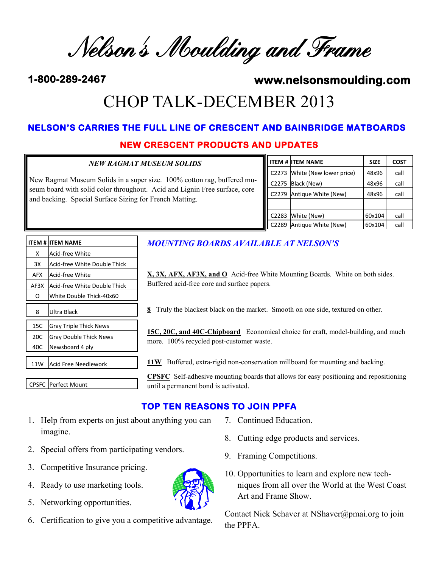Nelson's Moulding and Frame

# **1-800-289-2467 www.nelsonsmoulding.com**  CHOP TALK-DECEMBER 2013

# **NEW CRESCENT PRODUCTS AND UPDATES NELSON'S CARRIES THE FULL LINE OF CRESCENT AND BAINBRIDGE MATBOARDS**

## *NEW RAGMAT MUSEUM SOLIDS* New Ragmat Museum Solids in a super size. 100% cotton rag, buffered museum board with solid color throughout. Acid and Lignin Free surface, core and backing. Special Surface Sizing for French Matting.

|       | <b>ITEM # ITEM NAME</b> | <b>SIZE</b> | <b>COST</b> |
|-------|-------------------------|-------------|-------------|
| C2273 | White (New lower price) | 48x96       | call        |
| C2275 | Black (New)             | 48x96       | call        |
| C2279 | Antique White (New)     | 48x96       | call        |
|       |                         |             |             |
| C2283 | White (New)             | 60x104      | call        |
| C2289 | Antique White (New)     | 60x104      | call        |

|                  | ITEM # IITEM NAME             |  |
|------------------|-------------------------------|--|
| x                | Acid-free White               |  |
| 3X               | Acid-free White Double Thick  |  |
| AFX              | lAcid-free White              |  |
| AF3X             | Acid-free White Double Thick  |  |
| ი                | White Double Thick-40x60      |  |
| Ultra Black<br>8 |                               |  |
| 15C              | <b>Gray Triple Thick News</b> |  |
| 20C              | Gray Double Thick News        |  |
| 40C              | Newsboard 4 ply               |  |
|                  |                               |  |
| 11W              | lAcid Free Needlework         |  |

CPSFC Perfect Mount

### *MOUNTING BOARDS AVAILABLE AT NELSON'S*

**X, 3X, AFX, AF3X, and O** Acid-free White Mounting Boards. White on both sides. Buffered acid-free core and surface papers.

**8** Truly the blackest black on the market. Smooth on one side, textured on other.

**15C, 20C, and 40C-Chipboard** Economical choice for craft, model-building, and much more. 100% recycled post-customer waste.

11W Buffered, extra-rigid non-conservation millboard for mounting and backing.

**CPSFC** Self-adhesive mounting boards that allows for easy positioning and repositioning until a permanent bond is activated.

# **TOP TEN REASONS TO JOIN PPFA**

- 1. Help from experts on just about anything you can imagine.
- 2. Special offers from participating vendors.
- 3. Competitive Insurance pricing.
- 4. Ready to use marketing tools.
- 5. Networking opportunities.
- 6. Certification to give you a competitive advantage.
- 7. Continued Education.
- 8. Cutting edge products and services.
- 9. Framing Competitions.
- 10. Opportunities to learn and explore new techniques from all over the World at the West Coast Art and Frame Show.

Contact Nick Schaver at NShaver@pmai.org to join the PPFA.

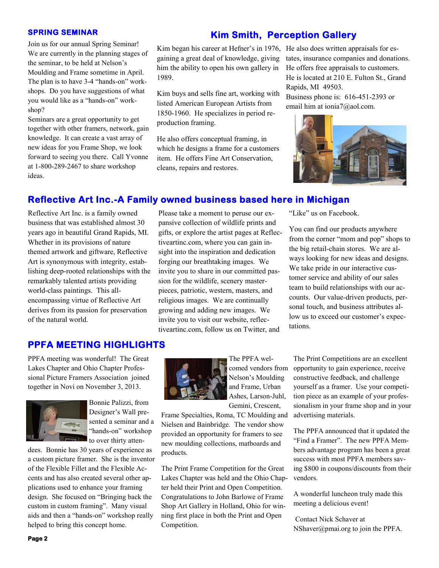#### **SPRING SEMINAR**

Join us for our annual Spring Seminar! We are currently in the planning stages of the seminar, to be held at Nelson's Moulding and Frame sometime in April. The plan is to have 3-4 "hands-on" workshops. Do you have suggestions of what you would like as a "hands-on" workshop?

Seminars are a great opportunity to get together with other framers, network, gain knowledge. It can create a vast array of new ideas for you Frame Shop, we look forward to seeing you there. Call Yvonne at 1-800-289-2467 to share workshop ideas.

#### **Kim Smith, Perception Gallery**

Kim began his career at Hefner's in 1976, He also does written appraisals for esgaining a great deal of knowledge, giving him the ability to open his own gallery in 1989.

Kim buys and sells fine art, working with listed American European Artists from 1850-1960. He specializes in period reproduction framing.

He also offers conceptual framing, in which he designs a frame for a customers item. He offers Fine Art Conservation, cleans, repairs and restores.

Please take a moment to peruse our expansive collection of wildlife prints and gifts, or explore the artist pages at Reflectiveartinc.com, where you can gain insight into the inspiration and dedication forging our breathtaking images. We

tates, insurance companies and donations. He offers free appraisals to customers. He is located at 210 E. Fulton St., Grand Rapids, MI 49503.

Business phone is: 616-451-2393 or email him at ionia7@aol.com.



#### **Reflective Art Inc.-A Family owned business based here in Michigan**

Reflective Art Inc. is a family owned business that was established almost 30 years ago in beautiful Grand Rapids, MI. Whether in its provisions of nature themed artwork and giftware, Reflective Art is synonymous with integrity, establishing deep-rooted relationships with the remarkably talented artists providing world-class paintings. This allencompassing virtue of Reflective Art derives from its passion for preservation of the natural world.

invite you to share in our committed passion for the wildlife, scenery masterpieces, patriotic, western, masters, and religious images. We are continually growing and adding new images. We invite you to visit our website, reflectiveartinc.com, follow us on Twitter, and "Like" us on Facebook.

You can find our products anywhere from the corner "mom and pop" shops to the big retail-chain stores. We are always looking for new ideas and designs. We take pride in our interactive customer service and ability of our sales team to build relationships with our accounts. Our value-driven products, personal touch, and business attributes allow us to exceed our customer's expectations.

#### **PPFA MEETING HIGHLIGHTS**

PPFA meeting was wonderful! The Great Lakes Chapter and Ohio Chapter Professional Picture Framers Association joined together in Novi on November 3, 2013.



Bonnie Palizzi, from Designer's Wall presented a seminar and a "hands-on" workshop to over thirty atten-

dees. Bonnie has 30 years of experience as a custom picture framer. She is the inventor of the Flexible Fillet and the Flexible Accents and has also created several other applications used to enhance your framing design. She focused on "Bringing back the custom in custom framing". Many visual aids and then a "hands-on" workshop really helped to bring this concept home.



The PPFA welcomed vendors from Nelson's Moulding and Frame, Urban Ashes, Larson-Juhl, Gemini, Crescent,

Frame Specialties, Roma, TC Moulding and Nielsen and Bainbridge. The vendor show provided an opportunity for framers to see new moulding collections, matboards and products.

The Print Frame Competition for the Great Lakes Chapter was held and the Ohio Chapter held their Print and Open Competition. Congratulations to John Barlowe of Frame Shop Art Gallery in Holland, Ohio for winning first place in both the Print and Open Competition.

The Print Competitions are an excellent opportunity to gain experience, receive constructive feedback, and challenge yourself as a framer. Use your competition piece as an example of your professionalism in your frame shop and in your advertising materials.

The PPFA announced that it updated the "Find a Framer". The new PPFA Members advantage program has been a great success with most PPFA members saving \$800 in coupons/discounts from their vendors.

A wonderful luncheon truly made this meeting a delicious event!

Contact Nick Schaver at NShaver@pmai.org to join the PPFA.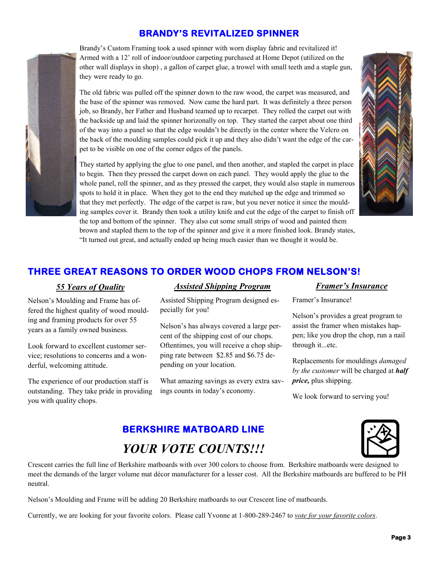## **BRANDY'S REVITALIZED SPINNER**

Brandy's Custom Framing took a used spinner with worn display fabric and revitalized it! Armed with a 12' roll of indoor/outdoor carpeting purchased at Home Depot (utilized on the other wall displays in shop) , a gallon of carpet glue, a trowel with small teeth and a staple gun, they were ready to go.

The old fabric was pulled off the spinner down to the raw wood, the carpet was measured, and the base of the spinner was removed. Now came the hard part. It was definitely a three person job, so Brandy, her Father and Husband teamed up to recarpet. They rolled the carpet out with the backside up and laid the spinner horizonally on top. They started the carpet about one third of the way into a panel so that the edge wouldn't be directly in the center where the Velcro on the back of the moulding samples could pick it up and they also didn't want the edge of the carpet to be visible on one of the corner edges of the panels.



# **THREE GREAT REASONS TO ORDER WOOD CHOPS FROM NELSON'S!**

Nelson's Moulding and Frame has offered the highest quality of wood moulding and framing products for over 55 years as a family owned business.

Look forward to excellent customer service; resolutions to concerns and a wonderful, welcoming attitude.

The experience of our production staff is outstanding. They take pride in providing you with quality chops.

#### *55 Years of Quality Assisted Shipping Program Framer's Insurance*

Assisted Shipping Program designed especially for you!

Nelson's has always covered a large percent of the shipping cost of our chops. Oftentimes, you will receive a chop shipping rate between \$2.85 and \$6.75 depending on your location.

What amazing savings as every extra savings counts in today's economy.

Framer's Insurance!

Nelson's provides a great program to assist the framer when mistakes happen; like you drop the chop, run a nail through it...etc.

Replacements for mouldings *damaged by the customer* will be charged at *half price,* plus shipping.

We look forward to serving you!

# **BERKSHIRE MATBOARD LINE**  *YOUR VOTE COUNTS!!!*



Crescent carries the full line of Berkshire matboards with over 300 colors to choose from. Berkshire matboards were designed to meet the demands of the larger volume mat décor manufacturer for a lesser cost. All the Berkshire matboards are buffered to be PH neutral.

Nelson's Moulding and Frame will be adding 20 Berkshire matboards to our Crescent line of matboards.

Currently, we are looking for your favorite colors. Please call Yvonne at 1-800-289-2467 to *vote for your favorite colors*.